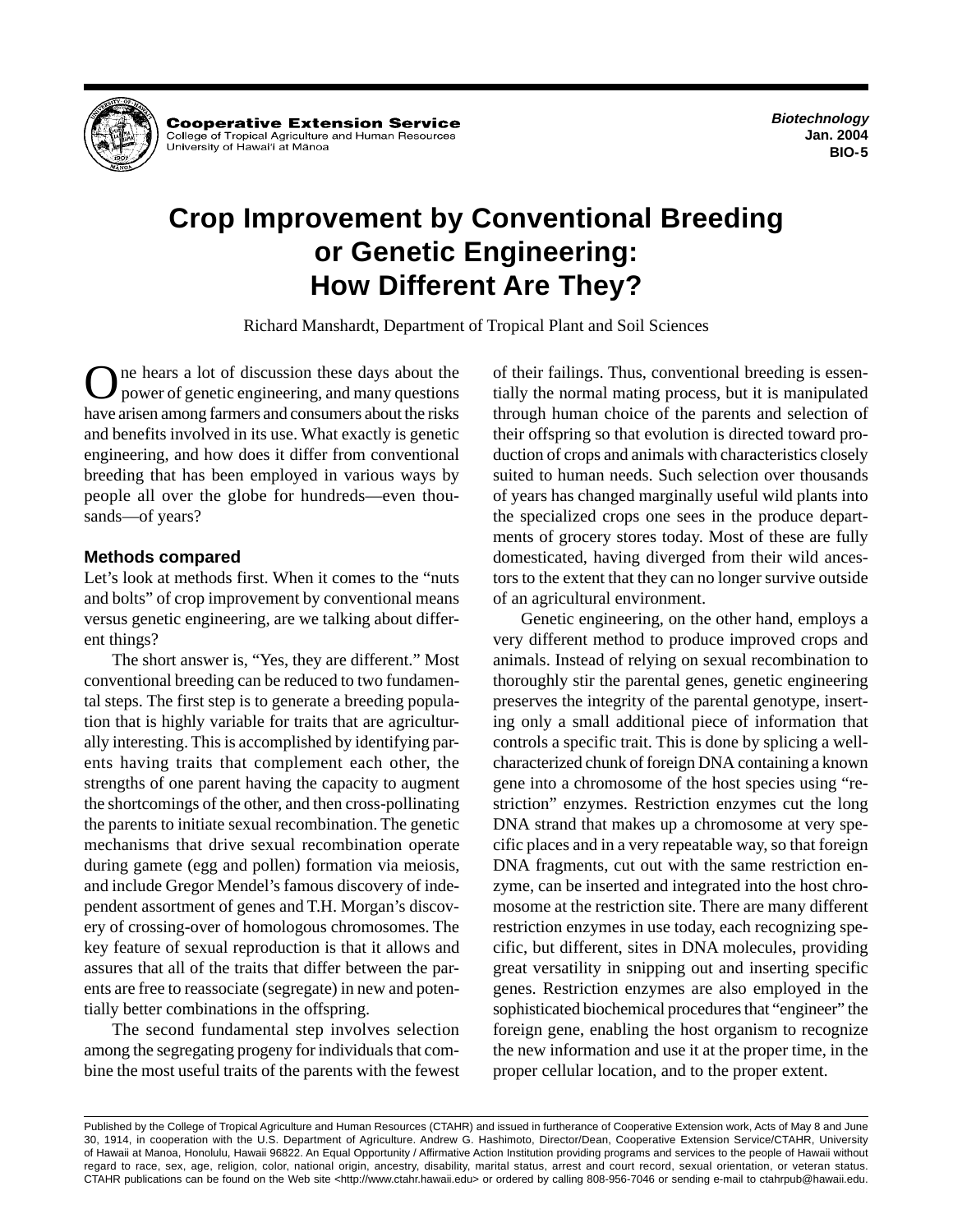

**Cooperative Extension Service** College of Tropical Agriculture and Human Resources University of Hawai'i at Mānoa

**Biotechnology Jan. 2004 BIO-5** 

# **Crop Improvement by Conventional Breeding or Genetic Engineering: How Different Are They?**

Richard Manshardt, Department of Tropical Plant and Soil Sciences

One hears a lot of discussion these days about the power of genetic engineering, and many questions have arisen among farmers and consumers about the risks and benefits involved in its use. What exactly is genetic engineering, and how does it differ from conventional breeding that has been employed in various ways by people all over the globe for hundreds—even thousands—of years?

## **Methods compared**

Let's look at methods first. When it comes to the "nuts and bolts" of crop improvement by conventional means versus genetic engineering, are we talking about different things?

The short answer is, "Yes, they are different." Most conventional breeding can be reduced to two fundamental steps. The first step is to generate a breeding population that is highly variable for traits that are agriculturally interesting. This is accomplished by identifying parents having traits that complement each other, the strengths of one parent having the capacity to augment the shortcomings of the other, and then cross-pollinating the parents to initiate sexual recombination. The genetic mechanisms that drive sexual recombination operate during gamete (egg and pollen) formation via meiosis, and include Gregor Mendel's famous discovery of independent assortment of genes and T.H. Morgan's discovery of crossing-over of homologous chromosomes. The key feature of sexual reproduction is that it allows and assures that all of the traits that differ between the parents are free to reassociate (segregate) in new and potentially better combinations in the offspring.

The second fundamental step involves selection among the segregating progeny for individuals that combine the most useful traits of the parents with the fewest of their failings. Thus, conventional breeding is essentially the normal mating process, but it is manipulated through human choice of the parents and selection of their offspring so that evolution is directed toward production of crops and animals with characteristics closely suited to human needs. Such selection over thousands of years has changed marginally useful wild plants into the specialized crops one sees in the produce departments of grocery stores today. Most of these are fully domesticated, having diverged from their wild ancestors to the extent that they can no longer survive outside of an agricultural environment.

Genetic engineering, on the other hand, employs a very different method to produce improved crops and animals. Instead of relying on sexual recombination to thoroughly stir the parental genes, genetic engineering preserves the integrity of the parental genotype, inserting only a small additional piece of information that controls a specific trait. This is done by splicing a wellcharacterized chunk of foreign DNA containing a known gene into a chromosome of the host species using "restriction" enzymes. Restriction enzymes cut the long DNA strand that makes up a chromosome at very specific places and in a very repeatable way, so that foreign DNA fragments, cut out with the same restriction enzyme, can be inserted and integrated into the host chromosome at the restriction site. There are many different restriction enzymes in use today, each recognizing specific, but different, sites in DNA molecules, providing great versatility in snipping out and inserting specific genes. Restriction enzymes are also employed in the sophisticated biochemical procedures that "engineer" the foreign gene, enabling the host organism to recognize the new information and use it at the proper time, in the proper cellular location, and to the proper extent.

Published by the College of Tropical Agriculture and Human Resources (CTAHR) and issued in furtherance of Cooperative Extension work, Acts of May 8 and June 30, 1914, in cooperation with the U.S. Department of Agriculture. Andrew G. Hashimoto, Director/Dean, Cooperative Extension Service/CTAHR, University of Hawaii at Manoa, Honolulu, Hawaii 96822. An Equal Opportunity / Affirmative Action Institution providing programs and services to the people of Hawaii without regard to race, sex, age, religion, color, national origin, ancestry, disability, marital status, arrest and court record, sexual orientation, or veteran status. CTAHR publications can be found on the Web site <http://www.ctahr.hawaii.edu> or ordered by calling 808-956-7046 or sending e-mail to ctahrpub@hawaii.edu.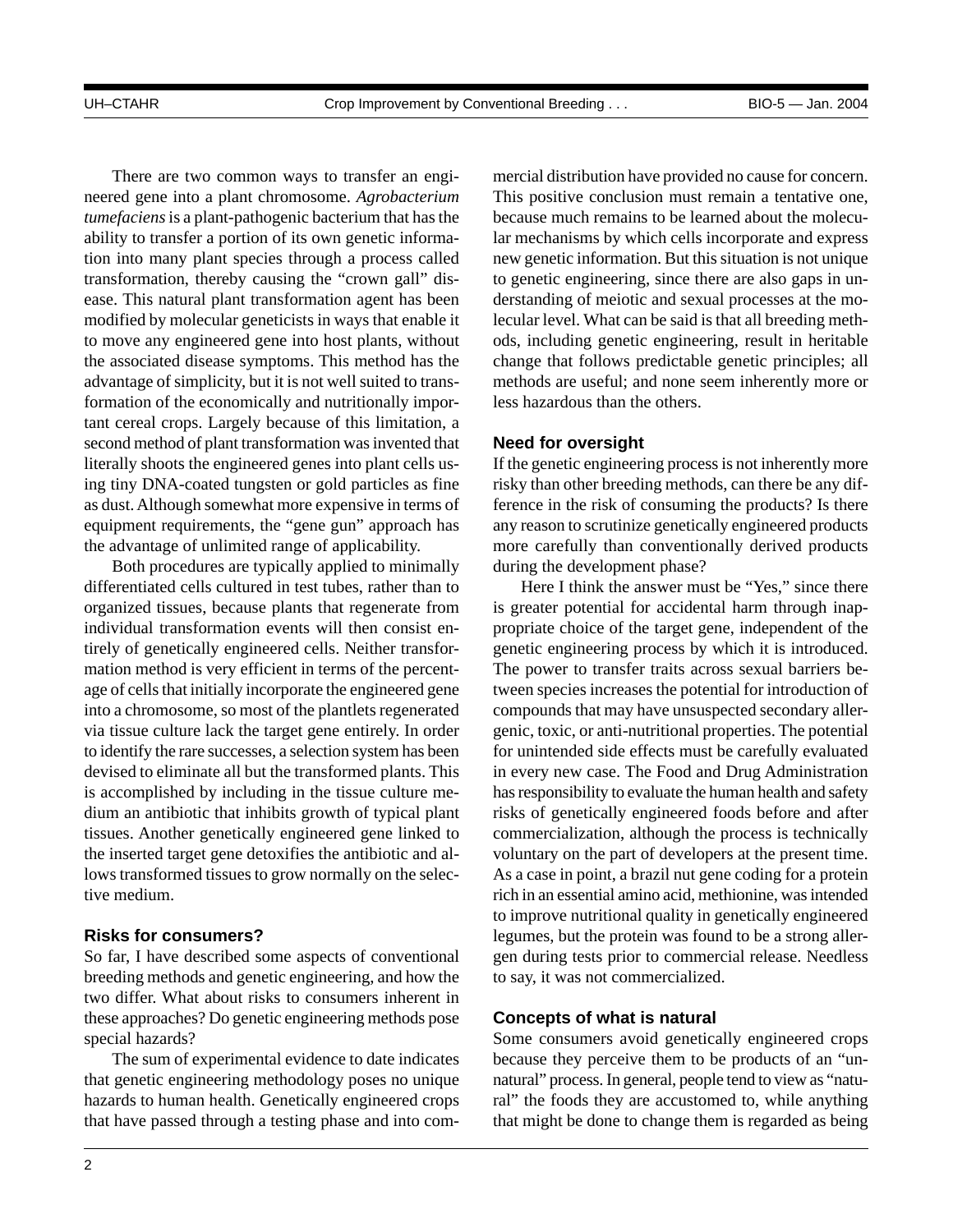There are two common ways to transfer an engineered gene into a plant chromosome. *Agrobacterium tumefaciens* is a plant-pathogenic bacterium that has the ability to transfer a portion of its own genetic information into many plant species through a process called transformation, thereby causing the "crown gall" disease. This natural plant transformation agent has been modified by molecular geneticists in ways that enable it to move any engineered gene into host plants, without the associated disease symptoms. This method has the advantage of simplicity, but it is not well suited to transformation of the economically and nutritionally important cereal crops. Largely because of this limitation, a second method of plant transformation was invented that literally shoots the engineered genes into plant cells using tiny DNA-coated tungsten or gold particles as fine as dust. Although somewhat more expensive in terms of equipment requirements, the "gene gun" approach has the advantage of unlimited range of applicability.

Both procedures are typically applied to minimally differentiated cells cultured in test tubes, rather than to organized tissues, because plants that regenerate from individual transformation events will then consist entirely of genetically engineered cells. Neither transformation method is very efficient in terms of the percentage of cells that initially incorporate the engineered gene into a chromosome, so most of the plantlets regenerated via tissue culture lack the target gene entirely. In order to identify the rare successes, a selection system has been devised to eliminate all but the transformed plants. This is accomplished by including in the tissue culture medium an antibiotic that inhibits growth of typical plant tissues. Another genetically engineered gene linked to the inserted target gene detoxifies the antibiotic and allows transformed tissues to grow normally on the selective medium.

## **Risks for consumers?**

So far, I have described some aspects of conventional breeding methods and genetic engineering, and how the two differ. What about risks to consumers inherent in these approaches? Do genetic engineering methods pose special hazards?

The sum of experimental evidence to date indicates that genetic engineering methodology poses no unique hazards to human health. Genetically engineered crops that have passed through a testing phase and into commercial distribution have provided no cause for concern. This positive conclusion must remain a tentative one, because much remains to be learned about the molecular mechanisms by which cells incorporate and express new genetic information. But this situation is not unique to genetic engineering, since there are also gaps in understanding of meiotic and sexual processes at the molecular level. What can be said is that all breeding methods, including genetic engineering, result in heritable change that follows predictable genetic principles; all methods are useful; and none seem inherently more or less hazardous than the others.

#### **Need for oversight**

If the genetic engineering process is not inherently more risky than other breeding methods, can there be any difference in the risk of consuming the products? Is there any reason to scrutinize genetically engineered products more carefully than conventionally derived products during the development phase?

Here I think the answer must be "Yes," since there is greater potential for accidental harm through inappropriate choice of the target gene, independent of the genetic engineering process by which it is introduced. The power to transfer traits across sexual barriers between species increases the potential for introduction of compounds that may have unsuspected secondary allergenic, toxic, or anti-nutritional properties. The potential for unintended side effects must be carefully evaluated in every new case. The Food and Drug Administration has responsibility to evaluate the human health and safety risks of genetically engineered foods before and after commercialization, although the process is technically voluntary on the part of developers at the present time. As a case in point, a brazil nut gene coding for a protein rich in an essential amino acid, methionine, was intended to improve nutritional quality in genetically engineered legumes, but the protein was found to be a strong allergen during tests prior to commercial release. Needless to say, it was not commercialized.

### **Concepts of what is natural**

Some consumers avoid genetically engineered crops because they perceive them to be products of an "unnatural" process. In general, people tend to view as "natural" the foods they are accustomed to, while anything that might be done to change them is regarded as being